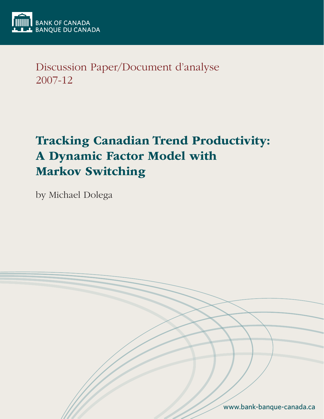

Discussion Paper/Document d'analyse 2007-12

# Tracking Canadian Trend Productivity: A Dynamic Factor Model with Markov Switching

by Michael Dolega

www.bank-banque-canada.ca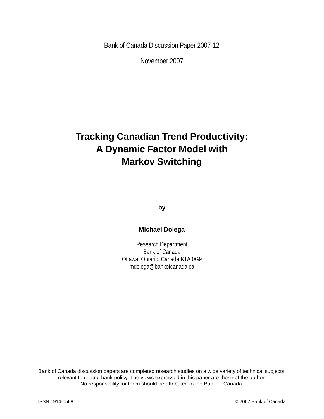Bank of Canada Discussion Paper 2007-12

November 2007

## **Tracking Canadian Trend Productivity: A Dynamic Factor Model with Markov Switching**

**by**

## **Michael Dolega**

Research Department Bank of Canada Ottawa, Ontario, Canada K1A 0G9 mdolega@bankofcanada.ca

Bank of Canada discussion papers are completed research studies on a wide variety of technical subjects relevant to central bank policy. The views expressed in this paper are those of the author. No responsibility for them should be attributed to the Bank of Canada.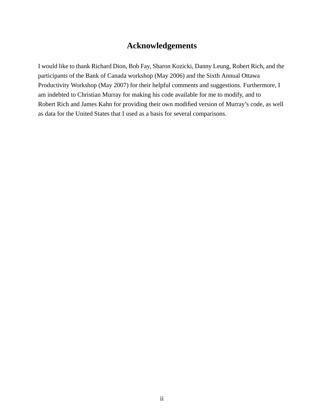## **Acknowledgements**

I would like to thank Richard Dion, Bob Fay, Sharon Kozicki, Danny Leung, Robert Rich, and the participants of the Bank of Canada workshop (May 2006) and the Sixth Annual Ottawa Productivity Workshop (May 2007) for their helpful comments and suggestions. Furthermore, I am indebted to Christian Murray for making his code available for me to modify, and to Robert Rich and James Kahn for providing their own modified version of Murray's code, as well as data for the United States that I used as a basis for several comparisons.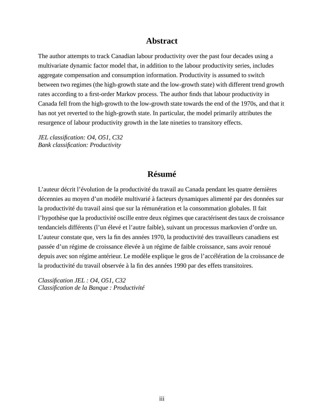## **Abstract**

The author attempts to track Canadian labour productivity over the past four decades using a multivariate dynamic factor model that, in addition to the labour productivity series, includes aggregate compensation and consumption information. Productivity is assumed to switch between two regimes (the high-growth state and the low-growth state) with different trend growth rates according to a first-order Markov process. The author finds that labour productivity in Canada fell from the high-growth to the low-growth state towards the end of the 1970s, and that it has not yet reverted to the high-growth state. In particular, the model primarily attributes the resurgence of labour productivity growth in the late nineties to transitory effects.

*JEL classification: O4, O51, C32 Bank classification: Productivity*

## **Résumé**

L'auteur décrit l'évolution de la productivité du travail au Canada pendant les quatre dernières décennies au moyen d'un modèle multivarié à facteurs dynamiques alimenté par des données sur la productivité du travail ainsi que sur la rémunération et la consommation globales. Il fait l'hypothèse que la productivité oscille entre deux régimes que caractérisent des taux de croissance tendanciels différents (l'un élevé et l'autre faible), suivant un processus markovien d'ordre un. L'auteur constate que, vers la fin des années 1970, la productivité des travailleurs canadiens est passée d'un régime de croissance élevée à un régime de faible croissance, sans avoir renoué depuis avec son régime antérieur. Le modèle explique le gros de l'accélération de la croissance de la productivité du travail observée à la fin des années 1990 par des effets transitoires.

*Classification JEL : O4, O51, C32 Classification de la Banque : Productivité*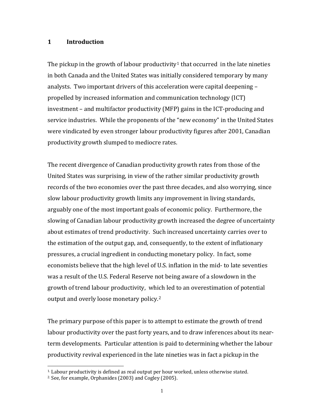#### **1 Introduction**

The pickup in the growth of labour productivity<sup>[1](#page-4-0)</sup> that occurred in the late nineties in both Canada and the United States was initially considered temporary by many analysts. Two important drivers of this acceleration were capital deepening – propelled by increased information and communication technology (ICT) investment – and multifactor productivity (MFP) gains in the ICT‐producing and service industries. While the proponents of the "new economy" in the United States were vindicated by even stronger labour productivity figures after 2001, Canadian productivity growth slumped to mediocre rates.

The recent divergence of Canadian productivity growth rates from those of the United States was surprising, in view of the rather similar productivity growth records of the two economies over the past three decades, and also worrying, since slow labour productivity growth limits any improvement in living standards, arguably one of the most important goals of economic policy. Furthermore, the slowing of Canadian labour productivity growth increased the degree of uncertainty about estimates of trend productivity. Such increased uncertainty carries over to the estimation of the output gap, and, consequently, to the extent of inflationary pressures, a crucial ingredient in conducting monetary policy. In fact, some economists believe that the high level of U.S. inflation in the mid‐ to late seventies was a result of the U.S. Federal Reserve not being aware of a slowdown in the growth of trend labour productivity, which led to an overestimation of potential output and overly loose monetary policy.[2](#page-4-1)

The primary purpose of this paper is to attempt to estimate the growth of trend labour productivity over the past forty years, and to draw inferences about its near‐ term developments. Particular attention is paid to determining whether the labour productivity revival experienced in the late nineties was in fact a pickup in the

l

 $\overline{a}$ 

<span id="page-4-0"></span><sup>1.</sup> Labour productivity is defined as real output per hour w orked, unless otherwise stated.

<span id="page-4-1"></span><sup>2.</sup> See, for example, Orphanides (2003) and Cogley (2005).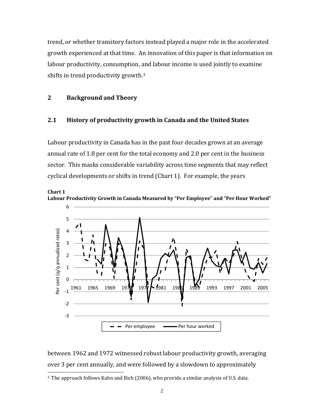trend, or whether transitory factors instead played a major role in the accelerated growth experienced at that time. An innovation of this paper is that information on labour productivity, consumption, a[n](#page-5-0)d labour income is used jointly to examine shifts in trend productivity growth.[3](#page-5-0)

## **2 Background and Theory**

 $\overline{a}$ 

#### **2.1 History of productivity growth in Canada and the United States**

Labour productivity in Canada has in the past four decades grown at an average annual rate of 1.8 per cent for the total economy and 2.0 per cent in the business sector. This masks considerable variability across time segments that may reflect cyclical developments or shifts in trend (Chart 1). For example, the years



**Chart 1 Labour Productivity Growth in Canada Measured by "Per Employee" and "Per Hour Worked"**

over 3 per cent annually, and were followed by a slowdown to approximately between 1962 and 1972 witnessed robust labour productivity growth, averaging

<span id="page-5-0"></span><sup>3.</sup> The approach follows Kahn and Rich (2006), who provide a similar analysis of U.S. data.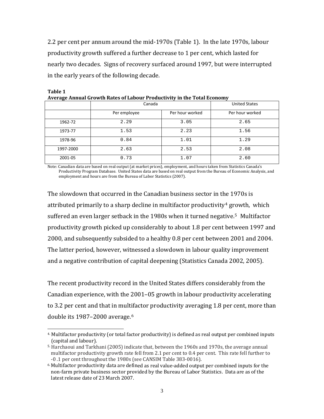2.2 per cent per annum around the mid‐1970s (Table 1). In the late 1970s, labour productivity growth suffered a further decrease to 1 per cent, which lasted for nearly two decades. Signs of recovery surfaced around 1997, but were interrupted in the early years of the following decade.

| . o       | Canada       | <b>United States</b> |                 |  |
|-----------|--------------|----------------------|-----------------|--|
|           | Per employee | Per hour worked      | Per hour worked |  |
| 1962-72   | 2.29         | 3.05                 | 2.65            |  |
| 1973-77   | 1.53         | 2.23                 | 1.56            |  |
| 1978-96   | 0.84         | 1.01                 | 1.29            |  |
| 1997-2000 | 2.63         | 2.53                 | 2.08            |  |
| 2001-05   | 0.73         | 1.07                 | 2.60            |  |

**Table 1 Average Annual Growth Rates of Labour Productivity in the Total Economy**

N ote: Canadian data are based on real output (at market prices), employment, and hours taken from Statistics Canada's Productivity Program Database. United States data are based on real output from the Bureau of Economic Analysis, and employment and hours are from the Bureau of Labor Statistics (2007).

The slowdown that occurred in the Canadian business sector in the 1970s is attributed primarily to a sharp decline in multifactor productivity<sup>[4](#page-6-0)</sup> growth, which suffered an even larger setback in the 1980s when it turned negative.<sup>[5](#page-6-1)</sup> Multifactor productivity growth picked up considerably to about 1.8 per cent between 1997 and 2000, and subsequently subsided to a healthy 0.8 per cent between 2001 and 2004. The latter period, however, witnessed a slowdown in labour quality improvement and a negative contribution of capital deepening (Statistics Canada 2002, 2005).

The recent productivity record in the United States differs considerably from the Canadian experience, with the 2001–05 growth in labour productivity accelerating to 3.2 per cent and that in multifactor productivity averaging 1.8 per cent, more than double its 1987-2000 average.<sup>[6](#page-6-2)</sup>

 $\overline{a}$ 

<span id="page-6-0"></span><sup>&</sup>lt;sup>4.</sup> Multifactor productivity (or total factor productivity) is defined as real output per combined inputs (capital and labour).

<span id="page-6-1"></span> $5.$  Harchaoui and Tarkhani (2005) indicate that, between the 1960s and 1970s, the average annual multifactor productivity growth rate fell from 2.1 per cent to 0.4 per cent. This rate fell further to ‐0 .1 per cent throughout the 1980s (see CANSIM Table 383‐0016).

<span id="page-6-2"></span> $6$  Multifactor productivity data are defined as real value-added output per combined inputs for the non-farm private business sector provided by the Bureau of Labor Statistics. Data are as of the latest release date of 23 March 2007.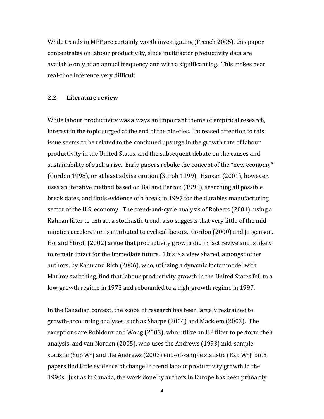While trends in MFP are certainly worth investigating (French 2005), this paper concentrates on labour productivity, since multifactor productivity data are available only at an annual frequency and with a significant lag. This makes near real‐time inference very difficult.

#### **2.2 Literature review**

While labour productivity was always an important theme of empirical research, interest in the topic surged at the end of the nineties. Increased attention to this issue seems to be related to the continued upsurge in the growth rate of labour productivity in the United States, and the subsequent debate on the causes and sustainability of such a rise. Early papers rebuke the concept of the "new economy" (Gordon 1998), or at least advise caution (Stiroh 1999). Hansen (2001), however, uses an iterative method based on Bai and Perron (1998), searching all possible break dates, and finds evidence of a break in 1997 for the durables manufacturing sector of the U.S. economy. The trend-and-cycle analysis of Roberts (2001), using a Kalman filter to extract a stochastic trend, also suggests that very little of the mid‐ nineties acceleration is attributed to cyclical factors. Gordon (2000) and Jorgenson, Ho, and Stiroh (2002) argue that productivity growth did in fact revive and is likely to remain intact for the immediate future. This is a view shared, amongst other authors, by Kahn and Rich (2006), who, utilizing a dynamic factor model with Markov switching, find that labour productivity growth in the United States fell to a low‐growth regime in 1973 and rebounded to a high‐growth regime in 1997.

In the Canadian context, the scope of research has been largely restrained to growth‐accounting analyses, such as Sharpe (2004) and Macklem (2003). The exceptions are Robidoux and Wong (2003), who utilize an HP filter to perform their analysis, and van Norden (2005), who uses the Andrews (1993) mid‐sample statistic (Sup W<sup>i</sup>) and the Andrews (2003) end-of-sample statistic (Exp W<sup>i</sup>): both papers find little evidence of change in trend labour productivity growth in the 1990s. Just as in Canada, the work done by authors in Europe has been primarily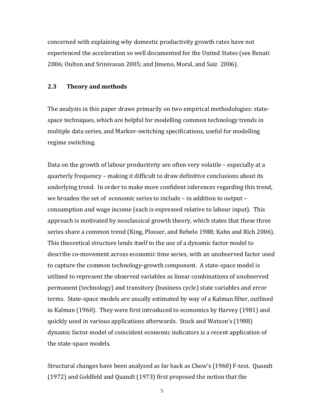concerned with explaining why domestic productivity growth rates have not experienced the acceleration so well documented for the United States (see Benati 2006; Oulton and Srinivasan 2005; and Jimeno, Moral, and Saiz 2006).

#### **2.3 Theory and methods**

The analysis in this paper draws primarily on two empirical methodologies: state‐ space techniques, which are helpful for modelling common technology trends in multiple data series, and Markov‐switching specifications, useful for modelling regime switching.

Data on the growth of labour productivity are often very volatile – especially at a quarterly frequency – making it difficult to draw definitive conclusions about its underlying trend. In order to make more confident inferences regarding this trend, we broaden the set of economic series to include – in addition to output – consumption and wage income (each is expressed relative to labour input). This approach is motivated by neoclassical growth theory, which states that these three series share a common trend (King, Plosser, and Rebelo 1988; Kahn and Rich 2006). This theoretical structure lends itself to the use of a dynamic factor model to describe co‐movement across economic time series, with an unobserved factor used to capture the common technology‐growth component. A state‐space model is utilized to represent the observed variables as linear combinations of unobserved permanent (technology) and transitory (business cycle) state variables and error terms. State‐space models are usually estimated by way of a Kalman filter, outlined in Kalman (1960). They were first introduced to economics by Harvey (1981) and quickly used in various applications afterwards. Stock and Watson's (1988) dynamic factor model of coincident economic indicators is a recent application of the state‐space models.

Structural changes have been analyzed as far back as Chow's (1960) F‐test. Quandt (1972) and Goldfeld and Quandt (1973) first proposed the notion that the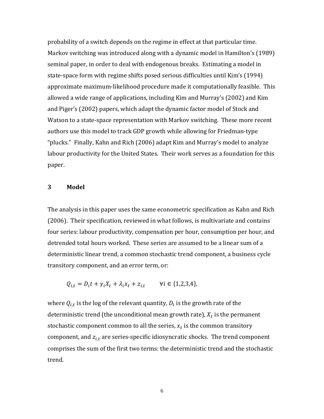probability of a switch depends on the regime in effect at that particular time. Markov switching was introduced along with a dynamic model in Hamilton's (1989) seminal paper, in order to deal with endogenous breaks. Estimating a model in state‐space form with regime shifts posed serious difficulties until Kim's (1994) approximate maximum‐likelihood procedure made it computationally feasible. This allowed a wide range of applications, including Kim and Murray's (2002) and Kim and Piger's (2002) papers, which adapt the dynamic factor model of Stock and Watson to a state‐space representation with Markov switching. These more recent authors use this model to track GDP growth while allowing for Friedman‐type "plucks." Finally, Kahn and Rich (2006) adapt Kim and Murray's model to analyze labour productivity for the United States. Their work serves as a foundation for this paper.

#### **3 Model**

The analysis in this paper uses the same econometric specification as Kahn and Rich (2006). Their specification, reviewed in what follows, is multivariate and contains four series: labour productivity, compensation per hour, consumption per hour, and detrended total hours worked. These series are assumed to be a linear sum of a deterministic linear trend, a common stochastic trend component, a business cycle transitory component, and an error term, or:

 $Q_{i,t} = D_i t + \gamma_i X_t + \lambda_i x_t + z_{i,t}$   $\forall i \in \{1,2,3,4\},$ 

where  $Q_{i,t}$  is the log of the relevant quantity,  $D_i$  is the growth rate of the deterministic trend (the unconditional mean growth rate),  $X_t$  is the permanent stochastic component common to all the series,  $x_t$  is the common transitory component, and  $z_{i,t}$  are series-specific idiosyncratic shocks. The trend component comprises the sum of the first two terms: the deterministic trend and the stochastic trend.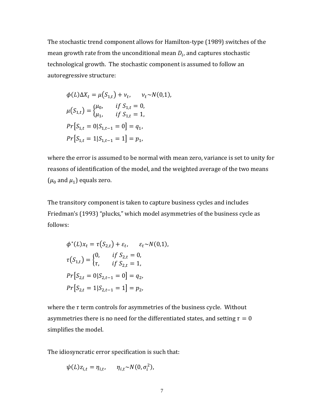The stochastic trend component allows for Hamilton‐type (1989) switches of the mean growth rate from the unconditional mean  $D_i$ , and captures stochastic technological growth. The stochastic component is assumed to follow an autoregressive structure:

$$
\phi(L)\Delta X_t = \mu(S_{1,t}) + v_t, \quad v_t \sim N(0,1),
$$
  
\n
$$
\mu(S_{1,t}) = \begin{cases} \mu_0, & \text{if } S_{1,t} = 0, \\ \mu_1, & \text{if } S_{1,t} = 1, \end{cases}
$$
  
\n
$$
Pr[S_{1,t} = 0 | S_{1,t-1} = 0] = q_1,
$$
  
\n
$$
Pr[S_{1,t} = 1 | S_{1,t-1} = 1] = p_1,
$$

where the error is assumed to be normal with mean zero, variance is set to unity for reasons of identification of the model, and the weighted average of the two means  $(\mu_0$  and  $\mu_1$ ) equals zero.

The transitory component is taken to capture business cycles and includes Friedman's (1993) "plucks," which model asymmetries of the business cycle as follows:

$$
\phi^*(L)x_t = \tau(S_{2,t}) + \varepsilon_t, \quad \varepsilon_t \sim N(0,1),
$$
  

$$
\tau(S_{1,t}) = \begin{cases} 0, & \text{if } S_{2,t} = 0, \\ \tau, & \text{if } S_{2,t} = 1, \end{cases}
$$
  

$$
Pr[S_{2,t} = 0 | S_{2,t-1} = 0] = q_2,
$$
  

$$
Pr[S_{2,t} = 1 | S_{2,t-1} = 1] = p_2,
$$

where the  $\tau$  term controls for asymmetries of the business cycle. Without asymmetries there is no need for the differentiated states, and setting  $\tau = 0$ simplifies the model.

The idiosyncratic error specification is such that:

$$
\psi(L)z_{i,t} = \eta_{i,t}, \qquad \eta_{i,t} \sim N(0, \sigma_i^2),
$$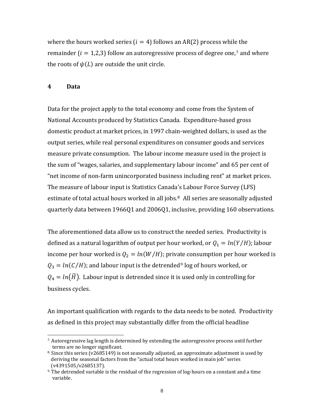where the hours worked series  $(i = 4)$  follows an AR(2) process while the remainder ( $i = 1.2.3$ ) follow an autoregressive process of degree one,<sup>[7](#page-11-0)</sup> and where the roots of  $\psi(L)$  are outside the unit circle.

#### **4 Data**

Data for the project apply to the total economy and come from the System of National Accounts produced by Statistics Canada. Expenditure‐based gross domestic product at market prices, in 1997 chain‐weighted dollars, is used as the output series, while real personal expenditures on consumer goods and services measure private consumption. The labour income measure used in the project is the sum of "wages, salaries, and supplementary labour income" and 65 per cent of "net income of non‐farm unincorporated business including rent" at market prices. The measure of labour input is Statistics Canada's Labour Force Survey (LFS) estimate of total actual hours worked in all jobs.<sup>[8](#page-11-1)</sup> All series are seasonally adjusted quarterly data between 1966Q1 and 2006Q1, inclusive, providing 160 observations.

The aforementioned data allow us to construct the needed series. Productivity is defined as a natural logarithm of output per hour worked, or  $Q_1 = ln(Y/H)$ ; labour income per hour worked is  $Q_2 = ln(W/H)$ ; private consumption per hour worked is  $Q_3 = ln(C/H)$ ; and labour input is the detrended<sup>[9](#page-11-2)</sup> log of hours worked, or  $Q_4 = ln(\widetilde{H})$ . Labour input is detrended since it is used only in controlling for business cycles.

An important qualification with regards to the data needs to be noted. Productivity as defined in this project may substantially differ from the official headline

<span id="page-11-0"></span> $\overline{a}$ 7. Autoregressive lag length is determined by extending the autoregressive process until further terms are no longer significant.

<span id="page-11-1"></span> $8$ . Since this series (v2685149) is not seasonally adjusted, an approximate adjustment is used by deriving the seasonal factors from the "actual total hours worked in main job" series (v4391505/v2685137).

<span id="page-11-2"></span><sup>&</sup>lt;sup>9.</sup> The detrended variable is the residual of the regression of log-hours on a constant and a time variable.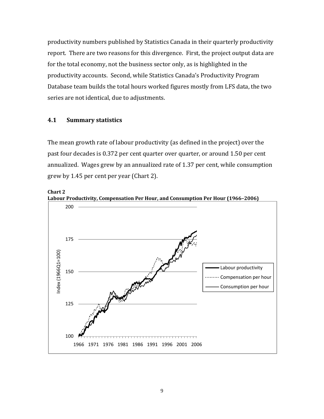productivity numbers published by Statistics Canada in their quarterly productivity report. There are two reasons for this divergence. First, the project output data are for the total economy, not the business sector only, as is highlighted in the productivity accounts. Second, while Statistics Canada's Productivity Program Database team builds the total hours worked figures mostly from LFS data, the two series are not identical, due to adjustments.

## **4.1 Summary statistics**

**Chart 2** 

The mean growth rate of labour productivity (as defined in the project) over the past four decades is 0.372 per cent quarter over quarter, or around 1.50 per cent annualized. Wages grew by an annualized rate of 1.37 per cent, while consumption grew by 1.45 per cent per year (Chart 2).



**Labour Productivity, Compensation Per Hour, and Consumption Per Hour (1966–2006)**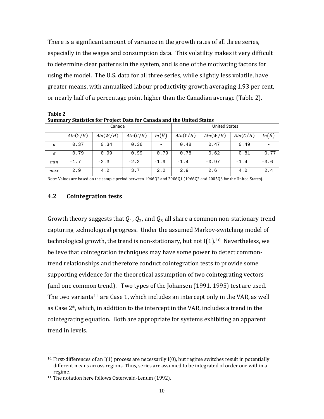There is a significant amount of variance in the growth rates of all three series, especially in the wages and consumption data. This volatility makes it very difficult to determine clear patterns in the system, and is one of the motivating factors for using the model. The U.S. data for all three series, while slightly less volatile, have greater means, with annualized labour productivity growth averaging 1.93 per cent, or nearly half of a percentage point higher than the Canadian average (Table 2).

**Table 2 Su mary m Statistics for Project Data for Canada and the United States**

|          | Canada           |                  |                  |                     | <b>United States</b> |                  |                  |                     |
|----------|------------------|------------------|------------------|---------------------|----------------------|------------------|------------------|---------------------|
|          | $\Delta ln(Y/H)$ | $\Delta ln(W/H)$ | $\Delta ln(C/H)$ | $ln(\widetilde{H})$ | $\Delta ln(Y/H)$     | $\Delta ln(W/H)$ | $\Delta ln(C/H)$ | $ln(\widetilde{H})$ |
| μ        | 0.37             | 0.34             | 0.36             |                     | 0.48                 | 0.47             | 0.49             |                     |
| $\sigma$ | 0.79             | 0.99             | 0.99             | 0.79                | 0.78                 | 0.62             | 0.81             | 0.77                |
| min      | $-1.7$           | $-2.3$           | $-2.2$           | $-1.9$              | $-1.4$               | $-0.97$          | $-1.4$           | $-3.6$              |
| max      | 2.9              | 4.2              | 3.7              | 2.2                 | 2.9                  | 2.6              | 4.0              | 2.4                 |

Note: Values are based on the sample period between 1966Q2 and 2006Q1 (1966Q2 and 2005Q3 for the United States).

#### **4.2 Cointegration tests**

Growth theory suggests that  $Q_1$ ,  $Q_2$ , and  $Q_3$  all share a common non-stationary trend capturing technological progress. Under the assumed Markov‐switching model of technological growth, the trend is non-stationary, but not  $I(1).^{10}$  $I(1).^{10}$  $I(1).^{10}$  Nevertheless, we believe that cointegration techniques may have some power to detect commontrend relationships and therefore conduct cointegration tests to provide some supporting evidence for the theoretical assumption of two cointegrating vectors (and one common trend). Two types of the Johansen (1991, 1995) test are used. The two variants<sup>[11](#page-13-1)</sup> are Case 1, which includes an intercept only in the VAR, as well as Case 2\*, which, in addition to the intercept in the VAR, includes a trend in the cointegrating equation. Both are appropriate for systems exhibiting an apparent trend in levels.

 $\overline{a}$ 

<span id="page-13-0"></span> $10.$  First-differences of an I(1) process are necessarily I(0), but regime switches result in potentially different means across regions. Thus, series are assumed to be integrated of order one within a regime.

<span id="page-13-1"></span><sup>11.</sup> The notation here follows Osterwald‐Lenum (1992).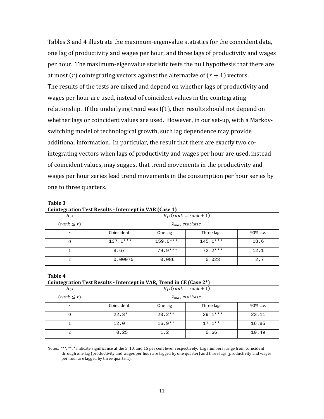Tables 3 and 4 illustrate the maximum‐eigenvalue statistics for the coincident data, one lag of productivity and wages per hour, and three lags of productivity and wages per hour. The maximum‐eigenvalue statistic tests the null hypothesis that there are at most  $(r)$  cointegrating vectors against the alternative of  $(r + 1)$  vectors. The results of the tests are mixed and depend on whether lags of productivity and wages per hour are used, instead of coincident values in the cointegrating relationship. If the underlying trend was  $I(1)$ , then results should not depend on whether lags or coincident values are used. However, in our set-up, with a Markovswitching model of technological growth, such lag dependence may provide additional information. In particular, the result that there are exactly two co‐ integrating vectors when lags of productivity and wages per hour are used, instead of coincident values, may suggest that trend movements in the productivity and wages per hour series lead trend movements in the consumption per hour series by one to three quarters.

| -------         |                           |            |            |          |  |  |
|-----------------|---------------------------|------------|------------|----------|--|--|
| $H_0$ :         | $H_1$ : (rank = rank + 1) |            |            |          |  |  |
| $(rank \leq r)$ | $\lambda_{max}$ statistic |            |            |          |  |  |
|                 | Coincident                | One lag    | Three lags | 90% c.v. |  |  |
|                 | $137.1***$                | $159.0***$ | $145.1***$ | 18.6     |  |  |
|                 | 8.67                      | $79.9***$  | $72.2***$  | 12.1     |  |  |
|                 | 0.00075                   | 0.086      | 0.023      | 2.7      |  |  |

**Table 3 Cointegration Test Results Intercept in VAR (Case 1)**

#### **Table 4**

#### **Cointegration Test Results Intercept in VAR, Trend in CE (Case 2\*)**

| $H_0$ :         | $H_1$ : (rank = rank + 1) |          |            |          |  |
|-----------------|---------------------------|----------|------------|----------|--|
| $(rank \leq r)$ | $\lambda_{max}$ statistic |          |            |          |  |
| r               | Coincident                | One lag  | Three lags | 90% c.v. |  |
| 0               | $22.3*$                   | $23.2**$ | $29.1***$  | 23.11    |  |
|                 | 12.0                      | $16.9**$ | $17.1**$   | 16.85    |  |
|                 | 0.25                      | 1.2      | 0.66       | 10.49    |  |

Notes: \*\*\*, \*\*, \* indicate significance at the 5, 10, and 15 per cent level, respectively. Lag numbers range from coincident through one lag (productivity and wages per hour are lagged by one quarter) and three lags (productivity and wages per hour are lagged by three quarters).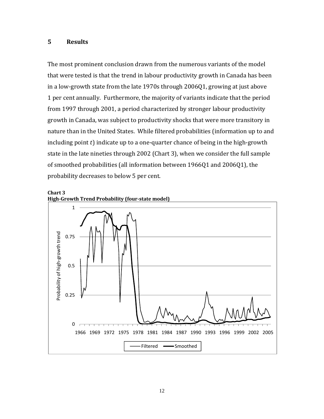### **5 Results**

The most prominent conclusion drawn from the numerous variants of the model that were tested is that the trend in labour productivity growth in Canada has been in a low‐growth state from the late 1970s through 2006Q1, growing at just above 1 per cent annually. Furthermore, the majority of variants indicate that the period from 1997 through 2001, a period characterized by stronger labour productivity growth in Canada, was subject to productivity shocks that were more transitory in nature than in the United States. While filtered probabilities (information up to and including point  $t$ ) indicate up to a one-quarter chance of being in the high-growth state in the late nineties through 2002 (Chart 3), when we consider the full sample of smoothed probabilities (all information between 1966Q1 and 2006Q1), the probability decreases to below 5 per cent.



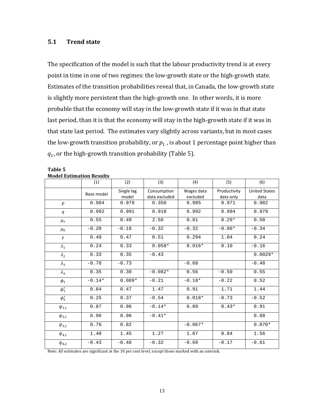## **5.1 Trend state**

The specification of the model is such that the labour productivity trend is at every point in time in one of two regimes: the low-growth state or the high-growth state. Estimates of the transition probabilities reveal that, in Canada, the low‐growth state is slightly more persistent than the high‐growth one. In other words, it is more probable that the economy will stay in the low-growth state if it was in that state last period, than it is that the economy will stay in the high-growth state if it was in that state last period. The estimates vary slightly across variants, but in most cases the low-growth transition probability, or  $p_1$ , is about 1 percentage point higher than  $q_1$ , or the high-growth transition probability (Table 5).

|                  | MUUTI ESUMANUM RESURS<br>(1) | (2)                 | (3)                          | (4)                    | (5)                       | (6)                          |  |
|------------------|------------------------------|---------------------|------------------------------|------------------------|---------------------------|------------------------------|--|
|                  | Base model                   | Single lag<br>model | Consumption<br>data excluded | Wages data<br>excluded | Productivity<br>data only | <b>United States</b><br>data |  |
| $\boldsymbol{p}$ | 0.984                        | 0.979               | 0.350                        | 0.985                  | 0.971                     | 0.982                        |  |
| q                | 0.992                        | 0.991               | 0.918                        | 0.992                  | 0.994                     | 0.979                        |  |
| $\mu_1$          | 0.55                         | 0.49                | 2.56                         | 0.81                   | $0.29*$                   | 0.50                         |  |
| $\mu_0$          | $-0.20$                      | $-0.18$             | $-0.32$                      | $-0.32$                | $-0.06*$                  | $-0.34$                      |  |
| $\gamma$         | 0.49                         | 0.47                | 0.51                         | 0.294                  | 1.04                      | 0.24                         |  |
| $\lambda_1$      | 0.24                         | 0.33                | $0.058*$                     | $0.016*$               | 0.10                      | $-0.16$                      |  |
| $\lambda_2$      | 0.33                         | 0.35                | $-0.43$                      |                        |                           | $0.0029*$                    |  |
| $\lambda_3$      | $-0.78$                      | $-0.73$             |                              | $-0.68$                |                           | $-0.48$                      |  |
| $\lambda_4$      | 0.35                         | 0.30                | $-0.082*$                    | 0.56                   | $-0.50$                   | 0.55                         |  |
| $\phi_1$         | $-0.14*$                     | $0.089*$            | $-0.21$                      | $-0.18*$               | $-0.22$                   | 0.52                         |  |
| $\phi_1^*$       | 0.64                         | 0.47                | 1.47                         | 0.91                   | 1.71                      | 1.44                         |  |
| $\phi_2^*$       | 0.25                         | 0.37                | $-0.54$                      | $0.018*$               | $-0.73$                   | $-0.52$                      |  |
| $\psi_{1,1}$     | 0.87                         | 0.96                | $-0.14*$                     | 0.89                   | $0.43*$                   | 0.91                         |  |
| $\psi_{2,1}$     | 0.96                         | 0.96                | $-0.41*$                     |                        |                           | 0.88                         |  |
| $\psi_{3,1}$     | 0.76                         | 0.82                |                              | $-0.067*$              |                           | $0.070*$                     |  |
| $\psi_{4,1}$     | 1.40                         | 1.45                | 1.27                         | 1.67                   | 0.84                      | 1.56                         |  |
| $\psi_{4,2}$     | $-0.43$                      | $-0.48$             | $-0.32$                      | $-0.69$                | $-0.17$                   | $-0.61$                      |  |

#### **Table 5 Model Estimation Results**

Note: All estimates are significant at the 10 per cent level, except those marked with an asterisk.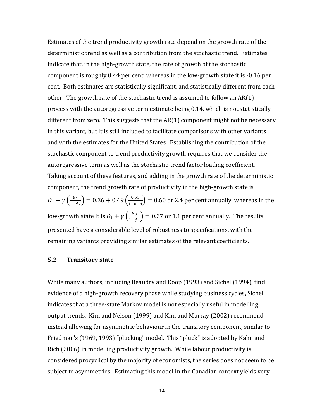Estimates of the trend productivity growth rate depend on the growth rate of the deterministic trend as well as a contribution from the stochastic trend. Estimates indicate that, in the high‐growth state, the rate of growth of the stochastic component is roughly 0.44 per cent, whereas in the low‐growth state it is ‐0.16 per cent. Both estimates are statistically significant, and statistically different from each other. The growth rate of the stochastic trend is assumed to follow an AR(1) process with the autoregressive term estimate being 0.14, which is not statistically different from zero. This suggests that the  $AR(1)$  component might not be necessary in this variant, but it is still included to facilitate comparisons with other variants and with the estimates for the United States. Establishing the contribution of the stochastic component to trend productivity growth requires that we consider the autoregressive term as well as the stochastic‐trend factor loading coefficient. Taking account of these features, and adding in the growth rate of the deterministic component, the trend growth rate of productivity in the high-growth state is  $D_1 + \gamma \left(\frac{\mu_1}{1-\phi_1}\right) = 0.36 + 0.49 \left(\frac{0.55}{1+0.14}\right) = 0.60$  or 2.4 per cent annually, whereas in the low-growth state it is  $D_1 + \gamma \left( \frac{\mu_0}{1 - \phi_1} \right) = 0.27$  or 1.1 per cent annually. The results presented have a considerable level of robustness to specifications, with the remaining variants providing similar estimates of the relevant coefficients.

#### **5.2 Transitory state**

While many authors, including Beaudry and Koop (1993) and Sichel (1994), find evidence of a high‐growth recovery phase while studying business cycles, Sichel indicates that a three‐state Markov model is not especially useful in modelling output trends. Kim and Nelson (1999) and Kim and Murray (2002) recommend instead allowing for asymmetric behaviour in the transitory component, similar to Friedman's (1969, 1993) "plucking" model. This "pluck" is adopted by Kahn and Rich (2006) in modelling productivity growth. While labour productivity is considered procyclical by the majority of economists, the series does not seem to be subject to asymmetries. Estimating this model in the Canadian context yields very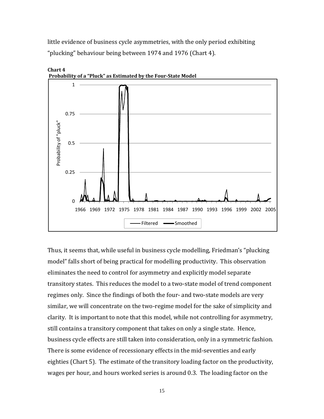little evidence of business cycle asymmetries, with the only period exhibiting "plucking" behaviour being between 1974 and 1976 (Chart 4).



**Chart 4 Probability of a "Pluck" as Estimated by the FourState Model**

Thus, it seems that, while useful in business cycle modelling, Friedman's "plucking model" falls short of being practical for modelling productivity. This observation eliminates the need to control for asymmetry and explicitly model separate transitory states. This reduces the model to a two‐state model of trend component regimes only. Since the findings of both the four‐ and two‐state models are very similar, we will concentrate on the two-regime model for the sake of simplicity and clarity. It is important to note that this model, while not controlling for asymmetry, still contains a transitory component that takes on only a single state. Hence, business cycle effects are still taken into consideration, only in a symmetric fashion. There is some evidence of recessionary effects in the mid‐seventies and early eighties (Chart 5). The estimate of the transitory loading factor on the productivity, wages per hour, and hours worked series is around 0.3. The loading factor on the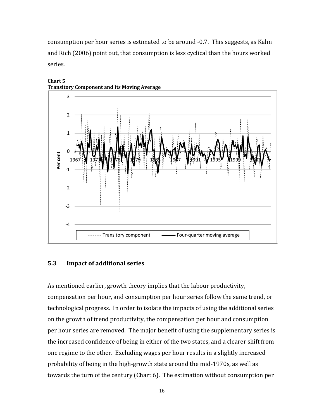consumption per hour series is estimated to be around ‐0.7. This suggests, as Kahn and Rich (2006) point out, that consumption is less cyclical than the hours worked series.



#### **Chart 5 Transitory Component and Its Moving Average**

#### **5.3 Impact of additional series**

As mentioned earlier, growth theory implies that the labour productivity, compensation per hour, and consumption per hour series follow the same trend, or technological progress. In order to isolate the impacts of using the additional series on the growth of trend productivity, the compensation per hour and consumption per hour series are removed. The major benefit of using the supplementary series is the increased confidence of being in either of the two states, and a clearer shift from one regime to the other. Excluding wages per hour results in a slightly increased probability of being in the high‐growth state around the mid‐1970s, as well as towards the turn of the century (Chart 6). The estimation without consumption per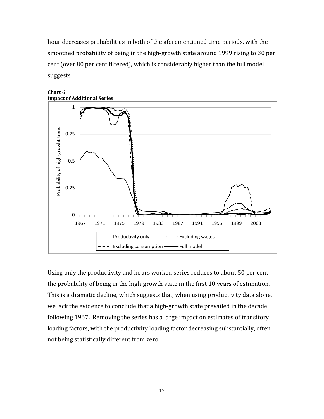hour decreases probabilities in both of the aforementioned time periods, with the smoothed probability of being in the high‐growth state around 1999 rising to 30 per cent (over 80 per cent filtered), which is considerably higher than the full model suggests.



#### **Chart 6 Impact of Additional Series**

Using only the productivity and hours worked series reduces to about 50 per cent the probability of being in the high‐growth state in the first 10 years of estimation. This is a dramatic decline, which suggests that, when using productivity data alone, we lack the evidence to conclude that a high‐growth state prevailed in the decade following 1967. Removing the series has a large impact on estimates of transitory loading factors, with the productivity loading factor decreasing substantially, often not being statistically different from zero.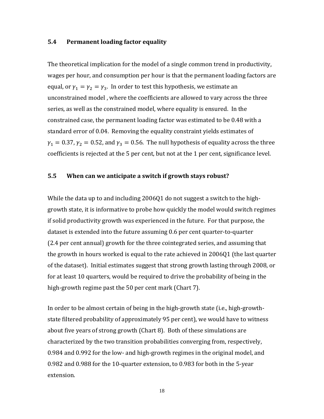#### **5.4 Permanent loading factor equality**

The theoretical implication for the model of a single common trend in productivity, wages per hour, and consumption per hour is that the permanent loading factors are equal, or  $\gamma_1 = \gamma_2 = \gamma_3$ . In order to test this hypothesis, we estimate an unconstrained model , where the coefficients are allowed to vary across the three series, as well as the constrained model, where equality is ensured. In the constrained case, the permanent loading factor was estimated to be 0.48 with a standard error of 0.04. Removing the equality constraint yields estimates of  $\gamma_1 = 0.37$ ,  $\gamma_2 = 0.52$ , and  $\gamma_3 = 0.56$ . The null hypothesis of equality across the three coefficients is rejected at the 5 per cent, but not at the 1 per cent, significance level.

#### **5.5 When can we anticipate a switch if growth stays robust?**

While the data up to and including 2006Q1 do not suggest a switch to the highgrowth state, it is informative to probe how quickly the model would switch regimes if solid productivity growth was experienced in the future. For that purpose, the dataset is extended into the future assuming 0.6 per cent quarter‐to‐quarter (2.4 per cent annual) growth for the three cointegrated series, and assuming that the growth in hours worked is equal to the rate achieved in 2006Q1 (the last quarter of the dataset). Initial estimates suggest that strong growth lasting through 2008, or for at least 10 quarters, would be required to drive the probability of being in the high-growth regime past the 50 per cent mark (Chart 7).

In order to be almost certain of being in the high‐growth state (i.e., high‐growth‐ state filtered probability of approximately 95 per cent), we would have to witness about five years of strong growth (Chart 8). Both of these simulations are characterized by the two transition probabilities converging from, respectively, 0.984 and 0.992 for the low‐ and high‐growth regimes in the original model, and 0.982 and 0.988 for the 10‐quarter extension, to 0.983 for both in the 5‐year extension.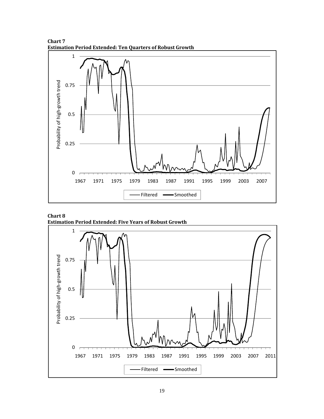**Chart 7 Estimation Period Extended: Ten Quarters of Robust Growth**



**Chart 8 Estimation Period Extended: Five Years of Robust Growth**

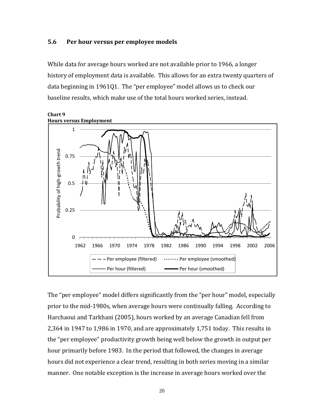#### **5.6 Per hour versus per employee models**

While data for average hours worked are not available prior to 1966, a longer history of employment data is available. This allows for an extra twenty quarters of data beginning in 1961Q1. The "per employee" model allows us to check our baseline results, which make use of the total hours worked series, instead.



The "per employee" model differs significantly from the "per hour" model, especially prior to the mid‐1980s, when average hours were continually falling. According to Harchaoui and Tarkhani (2005), hours worked by an average Canadian fell from 2,364 in 1947 to 1,986 in 1970, and are approximately 1,751 today. This results in the "per employee" productivity growth being well below the growth in output per hour primarily before 1983. In the period that followed, the changes in average hours did not experience a clear trend, resulting in both series moving in a similar manner. One notable exception is the increase in average hours worked over the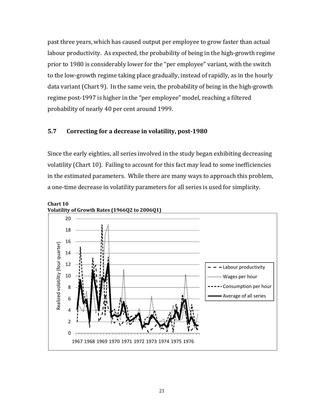past three years, which has caused output per employee to grow faster than actual labour productivity. As expected, the probability of being in the high-growth regime prior to 1980 is considerably lower for the "per employee" variant, with the switch to the low‐growth regime taking place gradually, instead of rapidly, as in the hourly data variant (Chart 9). In the same vein, the probability of being in the high‐growth regime post‐1997 is higher in the "per employee" model, reaching a filtered probability of nearly 40 per cent around 1999.

#### **5.7 Correcting for a decrease in volatility, post1980**

Since the early eighties, all series involved in the study began exhibiting decreasing volatility (Chart 10). Failing to account for this fact may lead to some inefficiencies in the estimated parameters. While there are many ways to approach this problem, a one-time decrease in volatility parameters for all series is used for simplicity.

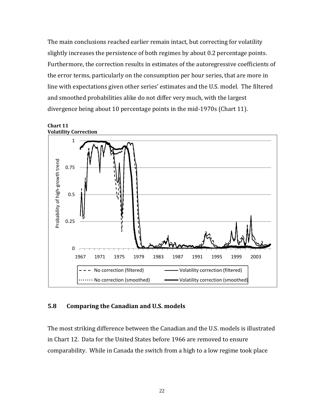The main conclusions reached earlier remain intact, but correcting for volatility slightly increases the persistence of both regimes by about 0.2 percentage points. Furthermore, the correction results in estimates of the autoregressive coefficients of the error terms, particularly on the consumption per hour series, that are more in line with expectations given other series' estimates and the U.S. model. The filtered and smoothed probabilities alike do not differ very much, with the largest divergence being about 10 percentage points in the mid‐1970s (Chart 11).



#### **5.8 Comparing the Canadian and U.S. models**

The most striking difference between the Canadian and the U.S. models is illustrated in Chart 12. Data for the United States before 1966 are removed to ensure comparability. While in Canada the switch from a high to a low regime took place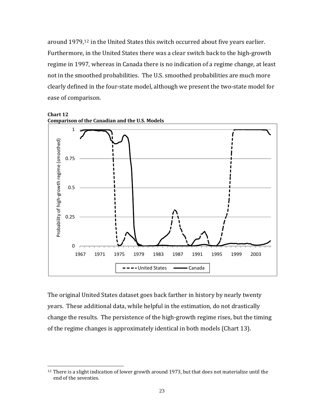around 1979,<sup>[12](#page-26-0)</sup> in the United States this switch occurred about five years earlier. Furthermore, in the United States there was a clear switch back to the high‐growth regime in 1997, whereas in Canada there is no indication of a regime change, at least not in the smoothed probabilities. The U.S. smoothed probabilities are much more clearly defined in the four‐state model, although we present the two‐state model for ease of comparison.



The original United States dataset goes back farther in history by nearly twenty years. These additional data, while helpful in the estimation, do not drastically change the results. The persistence of the high‐growth regime rises, but the timing of the regime changes is approximately identical in both models (Chart 13).

 $\overline{a}$ 

<span id="page-26-0"></span> $12$ . There is a slight indication of lower growth around 1973, but that does not materialize until the end of the seventies.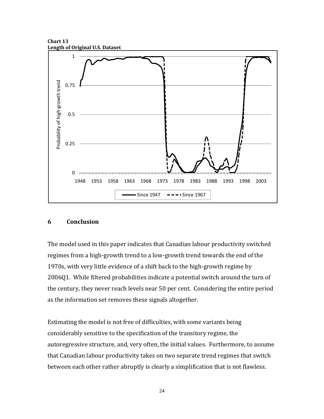**Chart 13 Length of Original U.S. Dataset**



#### **6 Conclusion**

The model used in this paper indicates that Canadian labour productivity switched regimes from a high‐growth trend to a low‐growth trend towards the end of the 1970s, with very little evidence of a shift back to the high‐growth regime by 2006Q1. While filtered probabilities indicate a potential switch around the turn of the century, they never reach levels near 50 per cent. Considering the entire period as the information set removes these signals altogether.

Estimating the model is not free of difficulties, with some variants being considerably sensitive to the specification of the transitory regime, the autoregressive structure, and, very often, the initial values. Furthermore, to assume that Canadian labour productivity takes on two separate trend regimes that switch between each other rather abruptly is clearly a simplification that is not flawless.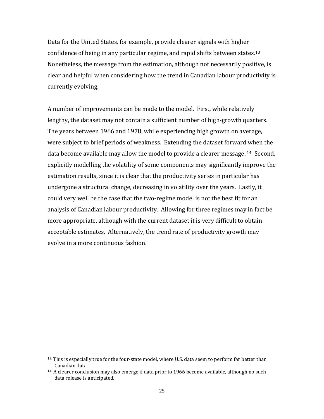Data for the United States, for example, provide clearer signals with higher confidence of being in any particular regime, and rapid shifts between states.<sup>[13](#page-28-0)</sup> Nonetheless, the message from the estimation, although not necessarily positive, is clear and helpful when considering how the trend in Canadian labour productivity is currently evolving.

A number of improvements can be made to the model. First, while relatively lengthy, the dataset may not contain a sufficient number of high‐growth quarters. The years between 1966 and 1978, while experiencing high growth on average, were subject to brief periods of weakness. Extending the dataset forward when the data become available may allow the model to provide a clearer message. [14](#page-28-1) Second, explicitly modelling the volatility of some components may significantly improve the estimation results, since it is clear that the productivity series in particular has undergone a structural change, decreasing in volatility over the years. Lastly, it could very well be the case that the two‐regime model is not the best fit for an analysis of Canadian labour productivity. Allowing for three regimes may in fact be more appropriate, although with the current dataset it is very difficult to obtain acceptable estimates. Alternatively, the trend rate of productivity growth may evolve in a more continuous fashion.

 $\overline{a}$ 

<span id="page-28-0"></span><sup>13.</sup> This is especially true for the four-state model, where U.S. data seem to perform far better than Canadian data.

<span id="page-28-1"></span> $14.$  A clearer conclusion may also emerge if data prior to 1966 become available, although no such data release is anticipated.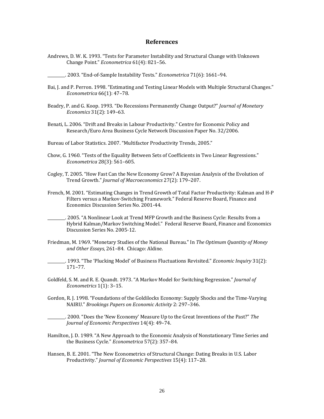#### **References**

- Andrews, D. W. K. 1993. "Tests for Parameter Instability and Structural Change with Unknown Change Point." *Econometrica* 61(4): 821-56.
- \_\_\_\_\_\_\_\_\_. 2003. "End‐of‐Sample Instability Tests." *Econometrica* 71(6): 1661–94.
- Bai, J. and P. Perron. 1998. "Estimating and Testing Linear Models with Multiple Structural Changes." *Econometrica* 66(1): 47–78.
- Beadry, P. and G. Koop. 1993. "Do Recessions Permanently Change Output?" *Journal of Monetary Economics* 31(2): 149–63.
- Benati, L. 2006. "Drift and Breaks in Labour Productivity." Centre for Economic Policy and Research/Euro Area Business Cycle Network Discussion Paper No. 32/2006.

Bureau of Labor Statistics. 2007. "Multifactor Productivity Trends, 2005."

- Chow, G. 1960. "Tests of the Equality Between Sets of Coefficients in Two Linear Regressions." *Econometrica* 28(3): 561–605.
- Cogley, T. 2005. "How Fast Can the New Economy Grow? A Bayesian Analysis of the Evolution of Trend Growth." *Journal of Macroeconomics* 27(2): 179–207.
- French, M. 2001. "Estimating Changes in Trend Growth of Total Factor Productivity: Kalman and H‐P Filters versus a Markov‐Switching Framework." Federal Reserve Board, Finance and Economics Discussion Series No. 2001‐44.
- \_\_\_\_\_\_\_\_\_. 2005. "A Nonlinear Look at Trend MFP Growth and the Business Cycle: Results from a Hybrid Kalman/Markov Switching Model." Federal Reserve Board, Finance and Economics Discussion Series No. 2005‐12.
- Friedman, M. 1969. "Monetary Studies of the National Bureau." In *The Optimum Quantity of Money and Other Essays*, 261–84. Chicago: Aldine.
- \_\_\_\_\_\_\_\_\_. 1993. "The 'Plucking Model' of Business Fluctuations Revisited." *Economic Inquiry* 31(2): 171–77.
- Goldfeld, S. M. and R. E. Quandt. 1973. "A Markov Model for Switching Regression." *Journal of Econometrics* 1(1): 3–15.
- Gordon, R. J. 1998. "Foundations of the Goldilocks Economy: Supply Shocks and the Time‐Varying NAIRU." *Brookings Papers on Economic Activity* 2: 297–346.
- \_\_\_\_\_\_\_\_\_. 2000. "Does the 'New Economy' Measure Up to the Great Inventions of the Past?" *The Journal of Economic Perspectives* 14(4): 49–74.
- Hamilton, J. D. 1989. "A New Approach to the Economic Analysis of Nonstationary Time Series and the Business Cycle." *Econometrica* 57(2): 357–84.
- Hansen, B. E. 2001. "The New Econometrics of Structural Change: Dating Breaks in U.S. Labor Productivity." *Journal of Economic Perspectives* 15(4): 117–28.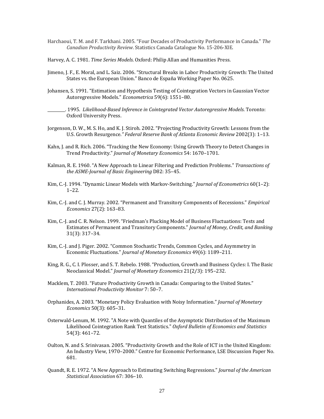- Harchaoui, T. M. and F. Tarkhani. 2005. "Four Decades of Productivity Performance in Canada." *The Canadian Productivity Review*. Statistics Canada Catalogue No. 15‐206‐XIE.
- Harvey, A. C. 1981. *Time Series Models*. Oxford: Philip Allan and Humanities Press.
- Jimeno, J. F., E. Moral, and L. Saiz. 2006. "Structural Breaks in Labor Productivity Growth: The United States vs. the European Union." Banco de España Working Paper No. 0625.
- Johansen, S. 1991. "Estimation and Hypothesis Testing of Cointegration Vectors in Gaussian Vector Autoregressive Models." Econometrica 59(6): 1551-80.

\_\_\_\_\_\_\_\_\_. 1995. *LikelihoodBased Inference in Cointegrated Vector Autoregressive Models*. Toronto: Oxford University Press.

- Jorgenson, D. W., M. S. Ho, and K. J. Stiroh. 2002. "Projecting Productivity Growth: Lessons from the U.S. Growth Resurgence.*" Federal Reserve Bank of Atlanta Economic Review* 2002(3): 1–13.
- Kahn, J. and R. Rich. 2006. "Tracking the New Economy: Using Growth Theory to Detect Changes in Trend Productivity." *Journal of Monetary Economics* 54: 1670–1701.
- Kalman, R. E. 1960. "A New Approach to Linear Filtering and Prediction Problems." *Transactions of the ASMEJournal of Basic Engineering* D82: 35–45.
- Kim, C.‐J. 1994. "Dynamic Linear Models with Markov‐Switching." *Journal of Econometrics* 60(1–2): 1–22.
- Kim, C.‐J. and C. J. Murray. 2002. "Permanent and Transitory Components of Recessions." *Empirical Economics* 27(2): 163–83.
- Kim, C.‐J. and C. R. Nelson. 1999. "Friedman's Plucking Model of Business Fluctuations: Tests and Estimates of Permanent and Transitory Components." *Journal of Money, Credit, and Banking* 31(3): 317–34.
- Kim, C.‐J. and J. Piger. 2002. "Common Stochastic Trends, Common Cycles, and Asymmetry in Economic Fluctuations." *Journal of Monetary Economics* 49(6): 1189–211.
- King, R. G., C. I. Plosser, and S. T. Rebelo. 1988. "Production, Growth and Business Cycles: I. The Basic Neoclassical Model." *Journal of Monetary Economics* 21(2/3): 195–232.
- Macklem, T. 2003. "Future Productivity Growth in Canada: Comparing to the United States." *International Productivity Monitor* 7: 50–7.
- Orphanides, A. 2003. "Monetary Policy Evaluation with Noisy Information." *Journal of Monetary Economics* 50(3): 605–31.
- Osterwald‐Lenum, M. 1992. "A Note with Quantiles of the Asymptotic Distribution of the Maximum Likelihood Cointegration Rank Test Statistics." *Oxford Bulletin of Economics and Statistics* 54(3): 461–72.
- Oulton, N. and S. Srinivasan. 2005. "Productivity Growth and the Role of ICT in the United Kingdom: An Industry View, 1970–2000." Centre for Economic Performance, LSE Discussion Paper No. 681.
- Quandt, R. E. 1972. "A New Approach to Estimating Switching Regressions." *Journal of the American Statistical Association* 67: 306–10.